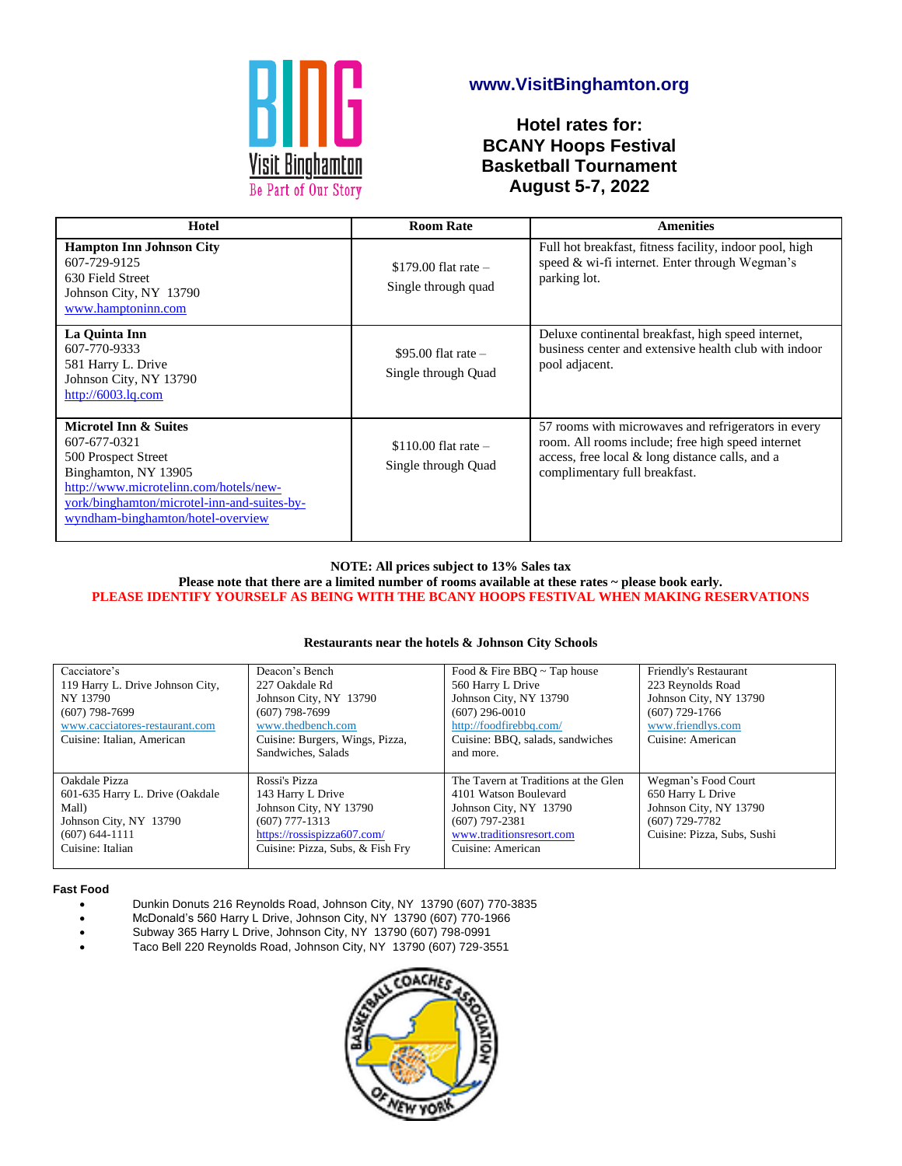

# **www.VisitBinghamton.org**

**Hotel rates for: BCANY Hoops Festival Basketball Tournament August 5-7, 2022**

| Hotel                                                                                                                                                                                                                         | <b>Room Rate</b>                               | <b>Amenities</b>                                                                                                                                                                             |
|-------------------------------------------------------------------------------------------------------------------------------------------------------------------------------------------------------------------------------|------------------------------------------------|----------------------------------------------------------------------------------------------------------------------------------------------------------------------------------------------|
| <b>Hampton Inn Johnson City</b><br>607-729-9125<br>630 Field Street<br>Johnson City, NY 13790<br>www.hamptoninn.com                                                                                                           | $$179.00$ flat rate $-$<br>Single through quad | Full hot breakfast, fitness facility, indoor pool, high<br>speed & wi-fi internet. Enter through Wegman's<br>parking lot.                                                                    |
| La Quinta Inn<br>607-770-9333<br>581 Harry L. Drive<br>Johnson City, NY 13790<br>http://6003.lq.com                                                                                                                           | $$95.00$ flat rate -<br>Single through Quad    | Deluxe continental breakfast, high speed internet,<br>business center and extensive health club with indoor<br>pool adjacent.                                                                |
| <b>Microtel Inn &amp; Suites</b><br>607-677-0321<br>500 Prospect Street<br>Binghamton, NY 13905<br>http://www.microtelinn.com/hotels/new-<br>york/binghamton/microtel-inn-and-suites-by-<br>wyndham-binghamton/hotel-overview | $$110.00$ flat rate $-$<br>Single through Quad | 57 rooms with microwaves and refrigerators in every<br>room. All rooms include; free high speed internet<br>access, free local & long distance calls, and a<br>complimentary full breakfast. |

## **NOTE: All prices subject to 13% Sales tax**

**Please note that there are a limited number of rooms available at these rates ~ please book early. PLEASE IDENTIFY YOURSELF AS BEING WITH THE BCANY HOOPS FESTIVAL WHEN MAKING RESERVATIONS**

### **Restaurants near the hotels & Johnson City Schools**

| Cacciatore's<br>119 Harry L. Drive Johnson City,<br>NY 13790<br>$(607)$ 798-7699<br>www.cacciatores-restaurant.com<br>Cuisine: Italian, American | Deacon's Bench<br>227 Oakdale Rd<br>Johnson City, NY 13790<br>$(607)$ 798-7699<br>www.thedbench.com<br>Cuisine: Burgers, Wings, Pizza,<br>Sandwiches, Salads | Food & Fire BBQ $\sim$ Tap house<br>560 Harry L Drive<br>Johnson City, NY 13790<br>$(607)$ 296-0010<br>http://foodfirebbq.com/<br>Cuisine: BBQ, salads, sandwiches<br>and more. | Friendly's Restaurant<br>223 Reynolds Road<br>Johnson City, NY 13790<br>$(607)$ 729-1766<br>www.friendlys.com<br>Cuisine: American |
|--------------------------------------------------------------------------------------------------------------------------------------------------|--------------------------------------------------------------------------------------------------------------------------------------------------------------|---------------------------------------------------------------------------------------------------------------------------------------------------------------------------------|------------------------------------------------------------------------------------------------------------------------------------|
| Oakdale Pizza<br>601-635 Harry L. Drive (Oakdale<br>Mall)<br>Johnson City, NY 13790<br>$(607) 644 - 1111$<br>Cuisine: Italian                    | Rossi's Pizza<br>143 Harry L Drive<br>Johnson City, NY 13790<br>$(607)$ 777-1313<br>https://rossispizza607.com/<br>Cuisine: Pizza, Subs, & Fish Fry          | The Tavern at Traditions at the Glen<br>4101 Watson Boulevard<br>Johnson City, NY 13790<br>$(607)$ 797-2381<br>www.traditionsresort.com<br>Cuisine: American                    | Wegman's Food Court<br>650 Harry L Drive<br>Johnson City, NY 13790<br>$(607)$ 729-7782<br>Cuisine: Pizza, Subs, Sushi              |

### **Fast Food**

- Dunkin Donuts 216 Reynolds Road, Johnson City, NY 13790 (607) 770-3835
- McDonald's 560 Harry L Drive, Johnson City, NY 13790 (607) 770-1966
- Subway 365 Harry L Drive, Johnson City, NY 13790 (607) 798-0991
- Taco Bell 220 Reynolds Road, Johnson City, NY 13790 (607) 729-3551